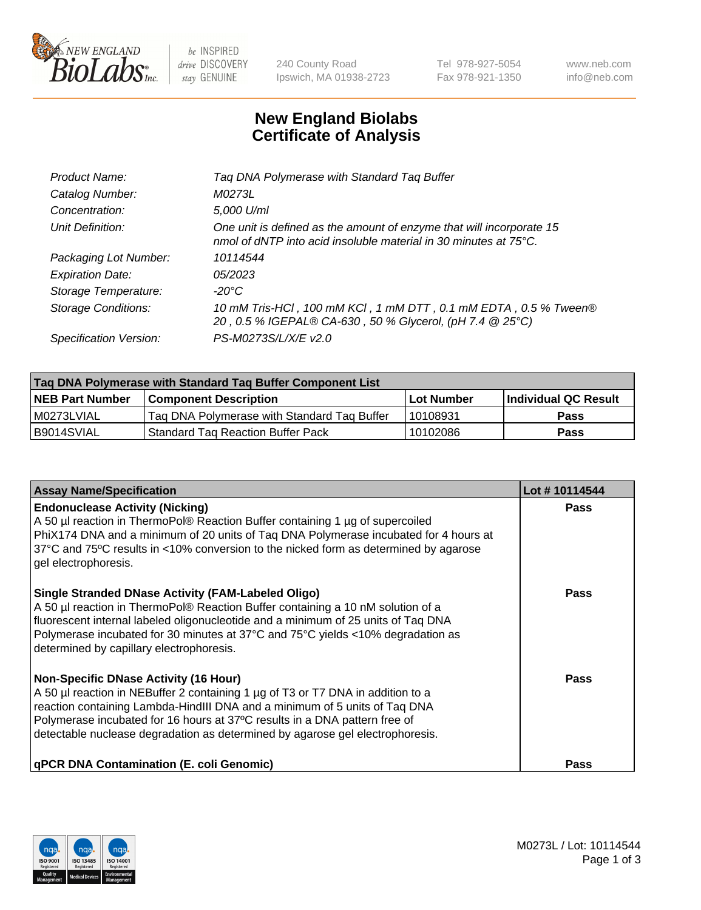

 $be$  INSPIRED drive DISCOVERY stay GENUINE

240 County Road Ipswich, MA 01938-2723 Tel 978-927-5054 Fax 978-921-1350 www.neb.com info@neb.com

## **New England Biolabs Certificate of Analysis**

| Tag DNA Polymerase with Standard Tag Buffer                                                                                              |
|------------------------------------------------------------------------------------------------------------------------------------------|
| M0273L                                                                                                                                   |
| 5,000 U/ml                                                                                                                               |
| One unit is defined as the amount of enzyme that will incorporate 15<br>nmol of dNTP into acid insoluble material in 30 minutes at 75°C. |
| 10114544                                                                                                                                 |
| 05/2023                                                                                                                                  |
| $-20^{\circ}$ C                                                                                                                          |
| 10 mM Tris-HCl, 100 mM KCl, 1 mM DTT, 0.1 mM EDTA, 0.5 % Tween®<br>20, 0.5 % IGEPAL® CA-630, 50 % Glycerol, (pH 7.4 @ 25°C)              |
| PS-M0273S/L/X/E v2.0                                                                                                                     |
|                                                                                                                                          |

| Tag DNA Polymerase with Standard Tag Buffer Component List |                                             |                   |                      |  |
|------------------------------------------------------------|---------------------------------------------|-------------------|----------------------|--|
| <b>NEB Part Number</b>                                     | Component Description_                      | <b>Lot Number</b> | Individual QC Result |  |
| M0273LVIAL                                                 | Tag DNA Polymerase with Standard Tag Buffer | l 10108931        | Pass                 |  |
| B9014SVIAL                                                 | <b>Standard Tag Reaction Buffer Pack</b>    | 10102086          | <b>Pass</b>          |  |

| <b>Assay Name/Specification</b>                                                                                                                                                                                                                                                                                                                                              | Lot #10114544 |
|------------------------------------------------------------------------------------------------------------------------------------------------------------------------------------------------------------------------------------------------------------------------------------------------------------------------------------------------------------------------------|---------------|
| <b>Endonuclease Activity (Nicking)</b><br>A 50 µl reaction in ThermoPol® Reaction Buffer containing 1 µg of supercoiled<br>PhiX174 DNA and a minimum of 20 units of Taq DNA Polymerase incubated for 4 hours at<br>37°C and 75°C results in <10% conversion to the nicked form as determined by agarose<br>gel electrophoresis.                                              | <b>Pass</b>   |
| <b>Single Stranded DNase Activity (FAM-Labeled Oligo)</b><br>A 50 µl reaction in ThermoPol® Reaction Buffer containing a 10 nM solution of a<br>fluorescent internal labeled oligonucleotide and a minimum of 25 units of Taq DNA<br>Polymerase incubated for 30 minutes at 37°C and 75°C yields <10% degradation as<br>determined by capillary electrophoresis.             | Pass          |
| <b>Non-Specific DNase Activity (16 Hour)</b><br>A 50 µl reaction in NEBuffer 2 containing 1 µg of T3 or T7 DNA in addition to a<br>reaction containing Lambda-HindIII DNA and a minimum of 5 units of Taq DNA<br>Polymerase incubated for 16 hours at 37°C results in a DNA pattern free of<br>detectable nuclease degradation as determined by agarose gel electrophoresis. | Pass          |
| <b>qPCR DNA Contamination (E. coli Genomic)</b>                                                                                                                                                                                                                                                                                                                              | Pass          |

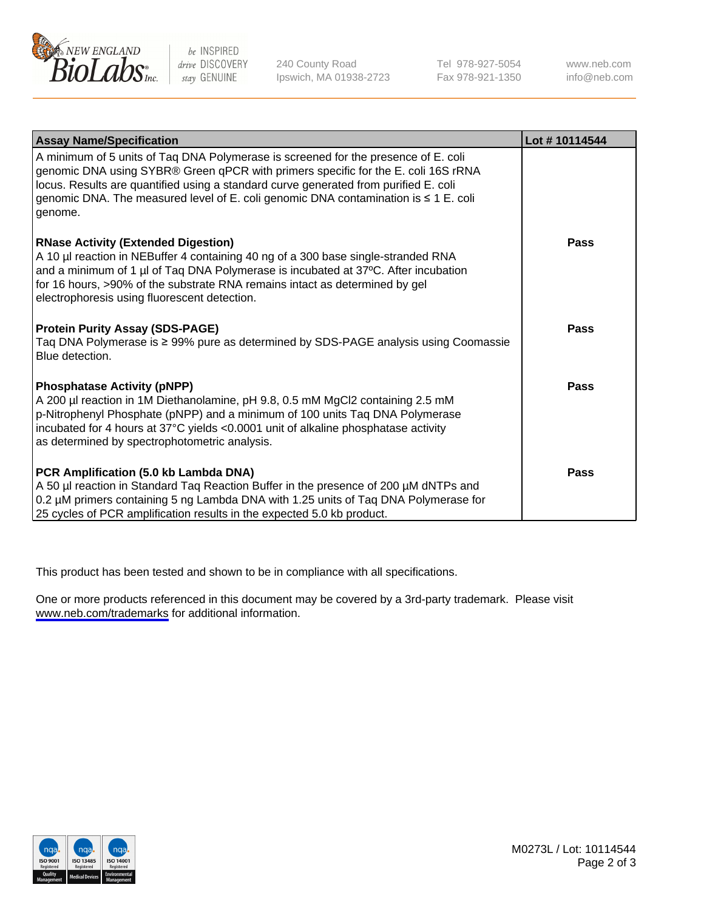

be INSPIRED drive DISCOVERY stay GENUINE

240 County Road Ipswich, MA 01938-2723 Tel 978-927-5054 Fax 978-921-1350

www.neb.com info@neb.com

| <b>Assay Name/Specification</b>                                                                                                                                                                                                                                                                                                                                   | Lot #10114544 |
|-------------------------------------------------------------------------------------------------------------------------------------------------------------------------------------------------------------------------------------------------------------------------------------------------------------------------------------------------------------------|---------------|
| A minimum of 5 units of Taq DNA Polymerase is screened for the presence of E. coli<br>genomic DNA using SYBR® Green qPCR with primers specific for the E. coli 16S rRNA<br>locus. Results are quantified using a standard curve generated from purified E. coli<br>genomic DNA. The measured level of E. coli genomic DNA contamination is ≤ 1 E. coli<br>genome. |               |
| <b>RNase Activity (Extended Digestion)</b><br>A 10 µl reaction in NEBuffer 4 containing 40 ng of a 300 base single-stranded RNA<br>and a minimum of 1 µl of Taq DNA Polymerase is incubated at 37°C. After incubation<br>for 16 hours, >90% of the substrate RNA remains intact as determined by gel<br>electrophoresis using fluorescent detection.              | <b>Pass</b>   |
| <b>Protein Purity Assay (SDS-PAGE)</b><br>Taq DNA Polymerase is ≥ 99% pure as determined by SDS-PAGE analysis using Coomassie<br>Blue detection.                                                                                                                                                                                                                  | <b>Pass</b>   |
| <b>Phosphatase Activity (pNPP)</b><br>A 200 µl reaction in 1M Diethanolamine, pH 9.8, 0.5 mM MgCl2 containing 2.5 mM<br>p-Nitrophenyl Phosphate (pNPP) and a minimum of 100 units Taq DNA Polymerase<br>incubated for 4 hours at 37°C yields <0.0001 unit of alkaline phosphatase activity<br>as determined by spectrophotometric analysis.                       | <b>Pass</b>   |
| PCR Amplification (5.0 kb Lambda DNA)<br>A 50 µl reaction in Standard Taq Reaction Buffer in the presence of 200 µM dNTPs and<br>0.2 µM primers containing 5 ng Lambda DNA with 1.25 units of Taq DNA Polymerase for<br>25 cycles of PCR amplification results in the expected 5.0 kb product.                                                                    | <b>Pass</b>   |

This product has been tested and shown to be in compliance with all specifications.

One or more products referenced in this document may be covered by a 3rd-party trademark. Please visit <www.neb.com/trademarks>for additional information.